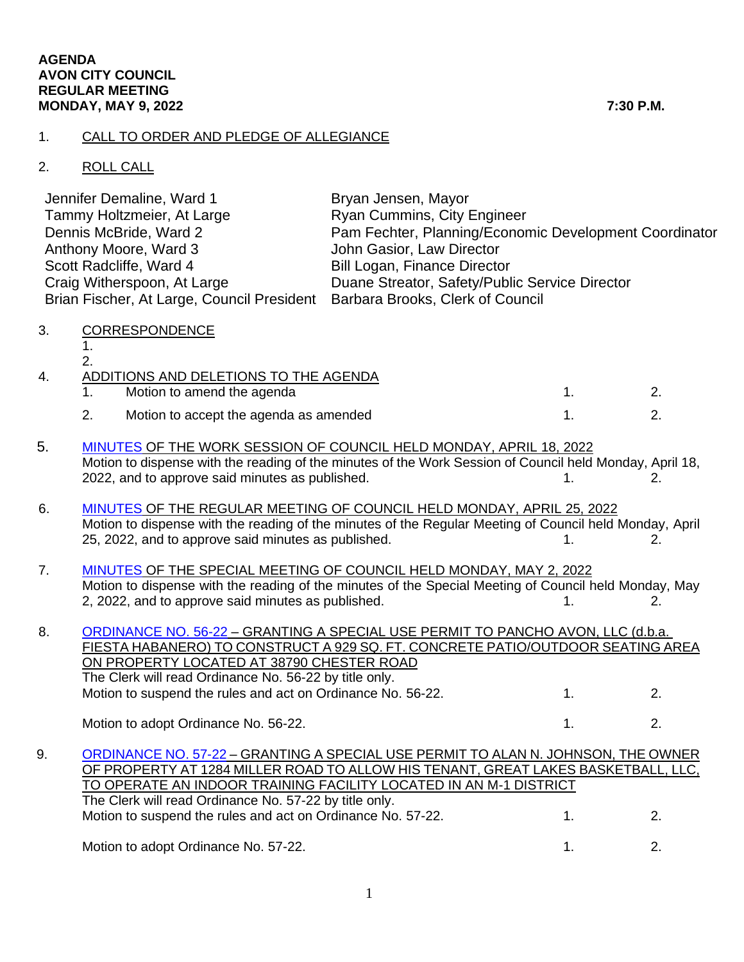## 1. CALL TO ORDER AND PLEDGE OF ALLEGIANCE

## 2. ROLL CALL

| Jennifer Demaline, Ward 1                                                   | Bryan Jensen, Mayor                                    |
|-----------------------------------------------------------------------------|--------------------------------------------------------|
| Tammy Holtzmeier, At Large                                                  | <b>Ryan Cummins, City Engineer</b>                     |
| Dennis McBride, Ward 2                                                      | Pam Fechter, Planning/Economic Development Coordinator |
| Anthony Moore, Ward 3                                                       | John Gasior, Law Director                              |
| Scott Radcliffe, Ward 4                                                     | <b>Bill Logan, Finance Director</b>                    |
| Craig Witherspoon, At Large                                                 | Duane Streator, Safety/Public Service Director         |
| Brian Fischer, At Large, Council President Barbara Brooks, Clerk of Council |                                                        |
|                                                                             |                                                        |

3. CORRESPONDENCE

1. 2.

| 4. | ADDITIONS AND DELETIONS TO THE AGENDA  |  |
|----|----------------------------------------|--|
|    | Motion to amend the agenda             |  |
|    | Motion to accept the agenda as amended |  |

- 5. [MINUTES](https://www.cityofavon.com/AgendaCenter/ViewFile/Minutes/_04182022-1090) OF THE WORK SESSION OF COUNCIL HELD MONDAY, APRIL 18, 2022 Motion to dispense with the reading of the minutes of the Work Session of Council held Monday, April 18,  $2022$ , and to approve said minutes as published.  $1.$  2.
- 6. [MINUTES](https://www.cityofavon.com/AgendaCenter/ViewFile/Minutes/_04252022-1093) OF THE REGULAR MEETING OF COUNCIL HELD MONDAY, APRIL 25, 2022 Motion to dispense with the reading of the minutes of the Regular Meeting of Council held Monday, April 25, 2022, and to approve said minutes as published. 1. 1. 2.
- 7. [MINUTES](https://www.cityofavon.com/AgendaCenter/ViewFile/Minutes/_05022022-1096) OF THE SPECIAL MEETING OF COUNCIL HELD MONDAY, MAY 2, 2022 Motion to dispense with the reading of the minutes of the Special Meeting of Council held Monday, May 2, 2022, and to approve said minutes as published. 1. 1. 2.

8. [ORDINANCE NO. 56-22](https://www.cityofavon.com/DocumentCenter/View/7806/Ordinance-No-56-22-Fiesta-Habanero---SUP) – GRANTING A SPECIAL USE PERMIT TO PANCHO AVON, LLC (d.b.a. FIESTA HABANERO) TO CONSTRUCT A 929 SQ. FT. CONCRETE PATIO/OUTDOOR SEATING AREA ON PROPERTY LOCATED AT 38790 CHESTER ROAD The Clerk will read Ordinance No. 56-22 by title only. Motion to suspend the rules and act on Ordinance No. 56-22. 1. 2. Motion to adopt Ordinance No. 56-22. 1. 2. 2.

9. [ORDINANCE NO. 57-22](https://www.cityofavon.com/DocumentCenter/View/7807/Ordinance-No-57-22-Great-Lakes-Basketball---SUP) – GRANTING A SPECIAL USE PERMIT TO ALAN N. JOHNSON, THE OWNER OF PROPERTY AT 1284 MILLER ROAD TO ALLOW HIS TENANT, GREAT LAKES BASKETBALL, LLC, TO OPERATE AN INDOOR TRAINING FACILITY LOCATED IN AN M-1 DISTRICT The Clerk will read Ordinance No. 57-22 by title only. Motion to suspend the rules and act on Ordinance No. 57-22. 1. 2.

Motion to adopt Ordinance No. 57-22. 1. 2.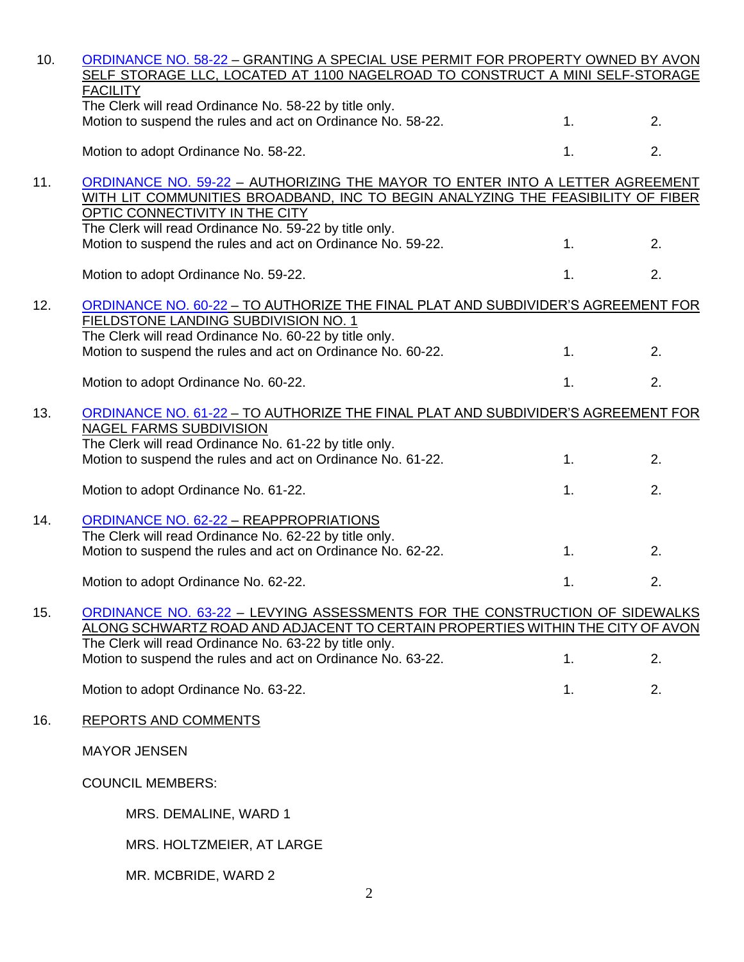| 10. | ORDINANCE NO. 58-22 - GRANTING A SPECIAL USE PERMIT FOR PROPERTY OWNED BY AVON<br>SELF STORAGE LLC, LOCATED AT 1100 NAGELROAD TO CONSTRUCT A MINI SELF-STORAGE                                                                                    |    |    |
|-----|---------------------------------------------------------------------------------------------------------------------------------------------------------------------------------------------------------------------------------------------------|----|----|
|     | <b>FACILITY</b><br>The Clerk will read Ordinance No. 58-22 by title only.<br>Motion to suspend the rules and act on Ordinance No. 58-22.                                                                                                          | 1. | 2. |
|     | Motion to adopt Ordinance No. 58-22.                                                                                                                                                                                                              | 1. | 2. |
| 11. | ORDINANCE NO. 59-22 - AUTHORIZING THE MAYOR TO ENTER INTO A LETTER AGREEMENT<br>WITH LIT COMMUNITIES BROADBAND, INC TO BEGIN ANALYZING THE FEASIBILITY OF FIBER<br>OPTIC CONNECTIVITY IN THE CITY                                                 |    |    |
|     | The Clerk will read Ordinance No. 59-22 by title only.<br>Motion to suspend the rules and act on Ordinance No. 59-22.                                                                                                                             | 1. | 2. |
|     | Motion to adopt Ordinance No. 59-22.                                                                                                                                                                                                              | 1. | 2. |
| 12. | ORDINANCE NO. 60-22 - TO AUTHORIZE THE FINAL PLAT AND SUBDIVIDER'S AGREEMENT FOR<br>FIELDSTONE LANDING SUBDIVISION NO. 1<br>The Clerk will read Ordinance No. 60-22 by title only.<br>Motion to suspend the rules and act on Ordinance No. 60-22. | 1. | 2. |
|     | Motion to adopt Ordinance No. 60-22.                                                                                                                                                                                                              | 1. | 2. |
| 13. | ORDINANCE NO. 61-22 - TO AUTHORIZE THE FINAL PLAT AND SUBDIVIDER'S AGREEMENT FOR<br>NAGEL FARMS SUBDIVISION<br>The Clerk will read Ordinance No. 61-22 by title only.                                                                             |    |    |
|     | Motion to suspend the rules and act on Ordinance No. 61-22.                                                                                                                                                                                       | 1. | 2. |
|     | Motion to adopt Ordinance No. 61-22.                                                                                                                                                                                                              | 1. | 2. |
| 14. | <b>ORDINANCE NO. 62-22 - REAPPROPRIATIONS</b>                                                                                                                                                                                                     |    |    |
|     | The Clerk will read Ordinance No. 62-22 by title only.<br>Motion to suspend the rules and act on Ordinance No. 62-22.                                                                                                                             | 1. | 2. |
|     | Motion to adopt Ordinance No. 62-22.                                                                                                                                                                                                              | 1. | 2. |
| 15. | ORDINANCE NO. 63-22 - LEVYING ASSESSMENTS FOR THE CONSTRUCTION OF SIDEWALKS<br>ALONG SCHWARTZ ROAD AND ADJACENT TO CERTAIN PROPERTIES WITHIN THE CITY OF AVON<br>The Clerk will read Ordinance No. 63-22 by title only.                           |    |    |
|     | Motion to suspend the rules and act on Ordinance No. 63-22.                                                                                                                                                                                       | 1. | 2. |
|     | Motion to adopt Ordinance No. 63-22.                                                                                                                                                                                                              | 1. | 2. |
| 16. | <b>REPORTS AND COMMENTS</b>                                                                                                                                                                                                                       |    |    |
|     | <b>MAYOR JENSEN</b>                                                                                                                                                                                                                               |    |    |
|     | <b>COUNCIL MEMBERS:</b>                                                                                                                                                                                                                           |    |    |
|     | MRS. DEMALINE, WARD 1                                                                                                                                                                                                                             |    |    |
|     | MRS. HOLTZMEIER, AT LARGE                                                                                                                                                                                                                         |    |    |
|     | MR. MCBRIDE, WARD 2                                                                                                                                                                                                                               |    |    |